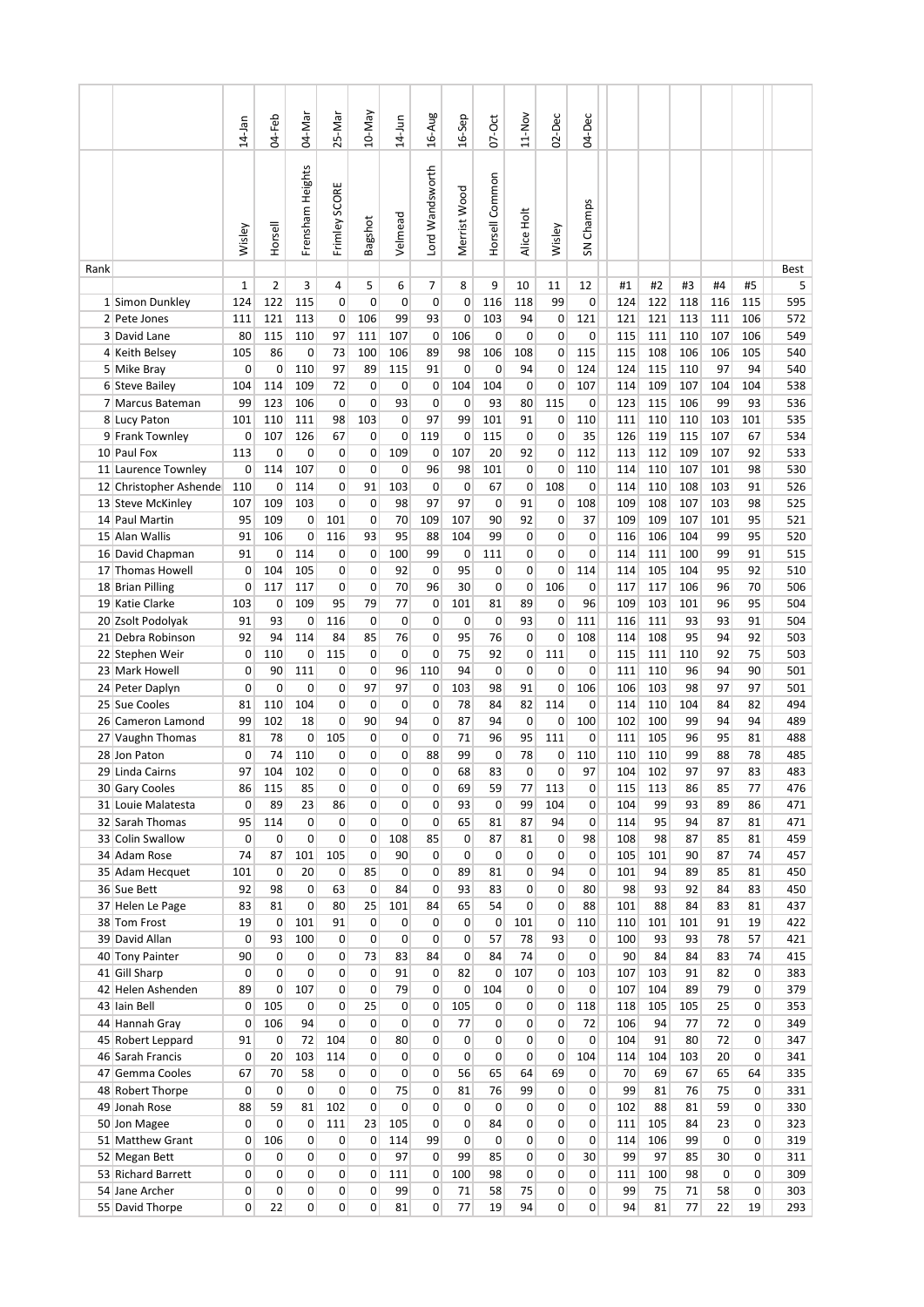|      |                                        | $14-$ Jan                    | $04-Feb$                   | 04-Mar                         | 25-Mar                   | 10-May            | $14$ -Jun      | 16-Aug                           | 16-Sep            | $07-Oct$           | 11-Nov            | $02 - Dec$        | 04-Dec                      |            |            |            |            |                                  |            |
|------|----------------------------------------|------------------------------|----------------------------|--------------------------------|--------------------------|-------------------|----------------|----------------------------------|-------------------|--------------------|-------------------|-------------------|-----------------------------|------------|------------|------------|------------|----------------------------------|------------|
|      |                                        | Wisley                       | Horsell                    | Frensham Heights               | Frimley SCORE            | Bagshot           | Velmead        | Lord Wandsworth                  | Merrist Wood      | Horsell Common     | Alice Holt        | Wisley            | SN Champs                   |            |            |            |            |                                  |            |
| Rank |                                        |                              |                            |                                |                          |                   |                |                                  |                   |                    |                   |                   |                             |            |            | #3         |            |                                  | Best       |
|      | 1 Simon Dunkley                        | 1<br>124                     | $\overline{2}$<br>122      | 3<br>115                       | 4<br>$\mathbf 0$         | 5<br>0            | 6<br>0         | 7<br>0                           | 8<br>0            | 9<br>116           | 10<br>118         | 11<br>99          | 12<br>$\mathbf 0$           | #1<br>124  | #2<br>122  | 118        | #4<br>116  | #5<br>115                        | 5<br>595   |
|      | 2 Pete Jones                           | 111                          | 121                        | 113                            | 0                        | 106               | 99             | 93                               | 0                 | 103                | 94                | 0                 | 121                         | 121        | 121        | 113        | 111        | 106                              | 572        |
|      | 3 David Lane                           | 80                           | 115                        | 110                            | 97                       | 111               | 107            | 0                                | 106               | $\mathbf 0$        | 0                 | 0                 | $\mathbf 0$                 | 115        | 111        | 110        | 107        | 106                              | 549        |
|      | 4 Keith Belsey                         | 105                          | 86                         | 0                              | 73                       | 100               | 106            | 89                               | 98                | 106                | 108               | 0                 | 115                         | 115        | 108        | 106        | 106        | 105                              | 540        |
|      | 5 Mike Bray                            | 0                            | 0                          | 110                            | 97                       | 89                | 115            | 91                               | 0                 | 0                  | 94                | 0                 | 124                         | 124        | 115        | 110        | 97         | 94                               | 540        |
|      | 6 Steve Bailey                         | 104                          | 114                        | 109                            | 72                       | 0                 | 0              | 0                                | 104               | 104                | $\mathbf 0$       | 0                 | 107                         | 114        | 109        | 107        | 104        | 104                              | 538        |
|      | 7 Marcus Bateman                       | 99                           | 123                        | 106                            | $\mathbf{0}$             | 0                 | 93             | $\mathbf 0$                      | 0                 | 93                 | 80                | 115               | 0                           | 123        | 115        | 106        | 99         | 93                               | 536        |
|      | 8 Lucy Paton                           | 101                          | 110                        | 111                            | 98                       | 103<br>0          | 0              | 97                               | 99                | 101                | 91                | 0<br>0            | 110                         | 111        | 110        | 110        | 103<br>107 | 101                              | 535        |
|      | 9 Frank Townley<br>10 Paul Fox         | 0<br>113                     | 107<br>0                   | 126<br>0                       | 67<br>0                  | 0                 | 0<br>109       | 119<br>0                         | 0<br>107          | 115<br>20          | 0<br>92           | 0                 | 35<br>112                   | 126<br>113 | 119<br>112 | 115<br>109 | 107        | 67<br>92                         | 534<br>533 |
|      | 11 Laurence Townley                    | 0                            | 114                        | 107                            | 0                        | 0                 | 0              | 96                               | 98                | 101                | $\mathbf 0$       | 0                 | 110                         | 114        | 110        | 107        | 101        | 98                               | 530        |
|      | 12 Christopher Ashende                 | 110                          | 0                          | 114                            | 0                        | 91                | 103            | 0                                | 0                 | 67                 | 0                 | 108               | 0                           | 114        | 110        | 108        | 103        | 91                               | 526        |
|      | 13 Steve McKinley                      | 107                          | 109                        | 103                            | 0                        | 0                 | 98             | 97                               | 97                | $\mathbf 0$        | 91                | 0                 | 108                         | 109        | 108        | 107        | 103        | 98                               | 525        |
|      | 14 Paul Martin                         | 95                           | 109                        | 0                              | 101                      | 0                 | 70             | 109                              | 107               | 90                 | 92                | 0                 | 37                          | 109        | 109        | 107        | 101        | 95                               | 521        |
|      | 15 Alan Wallis                         | 91                           | 106                        | 0                              | 116                      | 93                | 95             | 88                               | 104               | 99                 | 0                 | 0                 | 0                           | 116        | 106        | 104        | 99         | 95                               | 520        |
|      | 16 David Chapman                       | 91                           | 0                          | 114                            | 0                        | 0                 | 100            | 99                               | 0                 | 111                | 0                 | 0                 | $\mathbf 0$                 | 114        | 111        | 100        | 99         | 91                               | 515        |
|      | 17 Thomas Howell                       | 0                            | 104                        | 105                            | 0                        | 0                 | 92             | 0                                | 95                | 0                  | 0                 | 0                 | 114                         | 114        | 105        | 104        | 95         | 92                               | 510        |
|      | 18 Brian Pilling                       | 0                            | 117                        | 117                            | 0                        | 0                 | 70             | 96                               | 30                | $\mathbf 0$        | 0                 | 106               | 0                           | 117        | 117        | 106        | 96         | 70                               | 506        |
|      | 19 Katie Clarke                        | 103                          | 0                          | 109                            | 95                       | 79                | 77             | 0                                | 101               | 81                 | 89                | 0                 | 96                          | 109        | 103        | 101        | 96         | 95                               | 504        |
|      | 20 Zsolt Podolyak<br>21 Debra Robinson | 91<br>92                     | 93<br>94                   | 0<br>114                       | 116<br>84                | 0<br>85           | 0<br>76        | 0<br>0                           | 0<br>95           | 0<br>76            | 93<br>$\mathbf 0$ | 0<br>0            | 111<br>108                  | 116<br>114 | 111<br>108 | 93<br>95   | 93<br>94   | 91<br>92                         | 504<br>503 |
|      | 22 Stephen Weir                        | 0                            | 110                        | 0                              | 115                      | 0                 | 0              | 0                                | 75                | 92                 | 0                 | 111               | 0                           | 115        | 111        | 110        | 92         | 75                               | 503        |
|      | 23 Mark Howell                         | $\mathbf 0$                  | 90                         | 111                            | 0                        | 0                 | 96             | 110                              | 94                | $\mathbf 0$        | $\mathbf 0$       | $\Omega$          | $\mathbf 0$                 | 111        | 110        | 96         | 94         | 90                               | 501        |
|      | 24 Peter Daplyn                        | 0                            | 0                          | $\mathbf 0$                    | 0                        | 97                | 97             | 0                                | 103               | 98                 | 91                | 0                 | 106                         | 106        | 103        | 98         | 97         | 97                               | 501        |
|      | 25 Sue Cooles                          | 81                           | 110                        | 104                            | 0                        | 0                 | 0              | 0                                | 78                | 84                 | 82                | 114               | 0                           | 114        | 110        | 104        | 84         | 82                               | 494        |
|      | 26 Cameron Lamond                      | 99                           | 102                        | 18                             | 0                        | 90                | 94             | 0                                | 87                | 94                 | $\mathbf 0$       | 0                 | 100                         | 102        | 100        | 99         | 94         | 94                               | 489        |
|      | 27 Vaughn Thomas                       | 81                           | 78                         | 0                              | 105                      | 0                 | 0              | 0                                | 71                | 96                 | 95                | 111               | 0                           | 111        | 105        | 96         | 95         | 81                               | 488        |
|      | 28 Jon Paton                           | $\mathbf 0$                  | 74                         | 110                            | 0                        | 0                 | 0              | 88                               | 99                | 0                  | 78                | 0                 | 110                         | 110        | 110        | 99         | 88         | 78                               | 485        |
|      | 29 Linda Cairns                        | 97                           | 104                        | 102                            | 0                        | 0                 | 0              | 0                                | 68                | 83                 | $\Omega$          | 0                 | 97                          | 104        | 102        | 97         | 97         | 83                               | 483        |
|      | 30 Gary Cooles                         | 86                           | 115                        | 85                             | 0                        | 0                 | 0              | 0                                | 69                | 59                 | 77                | 113               | 0                           | 115        | 113        | 86         | 85         | 77                               | 476        |
|      | 31 Louie Malatesta<br>32 Sarah Thomas  | 0<br>95                      | 89<br>114                  | 23<br>$\mathbf{0}$             | 86<br>$\mathbf{0}$       | 0<br>$\mathbf{0}$ | 0<br>0         | 0<br>$\mathbf 0$                 | 93<br>65          | $\mathbf 0$<br>81  | 99<br>87          | 104<br>94         | $\Omega$<br>$\Omega$        | 104<br>114 | 99<br>95   | 93<br>94   | 89<br>87   | 86<br>81                         | 471<br>471 |
|      | 33 Colin Swallow                       | $\mathbf{0}$                 | 0                          | $\Omega$                       | $\mathbf{0}$             | 0                 | 108            | 85                               | $\overline{0}$    | 87                 | 81                | 0                 | 98                          | 108        | 98         | 87         | 85         | 81                               | 459        |
|      | 34 Adam Rose                           | 74                           | 87                         | 101                            | 105                      | 0                 | 90             | $\overline{0}$                   | 0                 | $\mathbf 0$        | 0                 | 0                 | 0                           | 105        | 101        | 90         | 87         | 74                               | 457        |
|      | 35 Adam Hecquet                        | 101                          | 0                          | 20                             | $\mathbf{0}$             | 85                | 0              | 0                                | 89                | 81                 | 0                 | 94                | 0                           | 101        | 94         | 89         | 85         | 81                               | 450        |
|      | 36 Sue Bett                            | 92                           | 98                         | $\mathbf{0}$                   | 63                       | $\mathbf 0$       | 84             | 0                                | 93                | 83                 | 0                 | $\mathbf 0$       | 80                          | 98         | 93         | 92         | 84         | 83                               | 450        |
|      | 37 Helen Le Page                       | 83                           | 81                         | 0                              | 80                       | 25                | 101            | 84                               | 65                | 54                 | 0                 | 0                 | 88                          | 101        | 88         | 84         | 83         | 81                               | 437        |
|      | 38 Tom Frost                           | 19                           | 0                          | 101                            | 91                       | $\mathbf 0$       | 0              | $\mathbf 0$                      | 0                 | 0                  | 101               | 0                 | 110                         | 110        | 101        | 101        | 91         | 19                               | 422        |
|      | 39 David Allan                         | 0                            | 93                         | 100                            | $\mathbf{0}$             | 0                 | 0              | 0                                | 0                 | 57                 | 78                | 93                | $\mathbf 0$                 | 100        | 93         | 93         | 78         | 57                               | 421        |
|      | 40 Tony Painter                        | 90                           | $\mathbf 0$                | 0                              | $\mathbf{0}$             | 73                | 83             | 84                               | 0                 | 84                 | 74                | 0                 | $\mathbf 0$                 | 90         | 84         | 84         | 83         | 74                               | 415        |
|      | 41 Gill Sharp<br>42 Helen Ashenden     | $\mathbf{0}$<br>89           | $\mathbf 0$<br>$\mathbf 0$ | 0<br>107                       | $\mathbf{0}$<br>$\Omega$ | 0<br>$\mathbf 0$  | 91<br>79       | $\overline{0}$<br>$\overline{0}$ | 82<br>$\mathbf 0$ | $\mathbf 0$<br>104 | 107<br>0          | 0<br>0            | 103<br>$\mathbf 0$          | 107<br>107 | 103<br>104 | 91<br>89   | 82<br>79   | 0<br>$\overline{0}$              | 383<br>379 |
|      | 43 Iain Bell                           | $\mathbf{0}$                 | 105                        | $\mathbf{0}$                   | $\mathbf{0}$             | 25                | 0              | $\mathbf 0$                      | 105               | 0                  | 0                 | 0                 | 118                         | 118        | 105        | 105        | 25         | $\overline{0}$                   | 353        |
|      | 44 Hannah Gray                         | 0                            | 106                        | 94                             | 0                        | 0                 | 0              | 0                                | 77                | $\mathbf 0$        | 0                 | $\mathbf 0$       | 72                          | 106        | 94         | 77         | 72         | $\overline{0}$                   | 349        |
|      | 45 Robert Leppard                      | 91                           | 0                          | 72                             | 104                      | 0                 | 80             | $\overline{0}$                   | $\Omega$          | 0                  | 0                 | 0                 | $\mathbf 0$                 | 104        | 91         | 80         | 72         | $\overline{0}$                   | 347        |
|      | 46 Sarah Francis                       | $\mathbf{0}$                 | 20                         | 103                            | 114                      | 0                 | 0              | $\overline{0}$                   | 0                 | $\mathbf 0$        | $\mathbf 0$       | 0                 | 104                         | 114        | 104        | 103        | 20         | 0                                | 341        |
|      | 47 Gemma Cooles                        | 67                           | 70                         | 58                             | $\mathbf{0}$             | $\mathbf{0}$      | $\overline{0}$ | $\Omega$                         | 56                | 65                 | 64                | 69                | $\overline{0}$              | 70         | 69         | 67         | 65         | 64                               | 335        |
|      | 48 Robert Thorpe                       | $\mathbf{0}$                 | 0                          | $\Omega$                       | $\mathbf{0}$             | 0                 | 75             | 0                                | 81                | 76                 | 99                | 0                 | $\Omega$                    | 99         | 81         | 76         | 75         | $\overline{0}$                   | 331        |
|      | 49 Jonah Rose                          | 88                           | 59                         | 81                             | 102                      | 0                 | 0              | 0                                | 0                 | 0                  | 0                 | 0                 | 0                           | 102        | 88         | 81         | 59         | $\overline{0}$                   | 330        |
|      | 50 Jon Magee                           | $\mathbf{0}$                 | $\mathbf 0$                | $\mathbf{0}$                   | 111                      | 23                | 105            | $\overline{0}$                   | 0                 | 84                 | 0                 | 0                 | $\mathbf 0$                 | 111        | 105        | 84         | 23         | $\overline{0}$                   | 323        |
|      | 51 Matthew Grant                       | 0                            | 106                        | 0                              | $\mathbf{0}$             | 0                 | 114            | 99                               | 0                 | $\mathbf 0$        | 0                 | 0                 | $\mathbf 0$                 | 114        | 106        | 99         | 0          | 0                                | 319        |
|      | 52 Megan Bett                          | 0                            | $\mathbf 0$                | $\mathbf{0}$<br>$\overline{0}$ | $\mathbf{0}$             | 0                 | 97             | $\Omega$                         | 99                | 85                 | 0<br>$\Omega$     | 0                 | 30                          | 99         | 97         | 85         | 30         | $\overline{0}$                   | 311        |
|      | 53 Richard Barrett<br>54 Jane Archer   | $\mathbf{0}$<br>$\mathbf{0}$ | 0<br>$\mathbf 0$           | 0                              | $\mathbf{0}$<br>0        | 0<br>0            | 111<br>99      | 0<br>0                           | 100<br>71         | 98<br>58           | 75                | 0<br>$\mathbf{0}$ | $\mathbf 0$<br>$\mathbf{0}$ | 111<br>99  | 100<br>75  | 98<br>71   | 0<br>58    | $\overline{0}$<br>$\overline{0}$ | 309<br>303 |
|      | 55 David Thorpe                        | $\overline{0}$               | 22                         | $\overline{0}$                 | 0                        | $\overline{0}$    | 81             | $\overline{0}$                   | 77                | 19                 | 94                | $\overline{0}$    | $\overline{0}$              | 94         | 81         | 77         | 22         | 19                               | 293        |
|      |                                        |                              |                            |                                |                          |                   |                |                                  |                   |                    |                   |                   |                             |            |            |            |            |                                  |            |